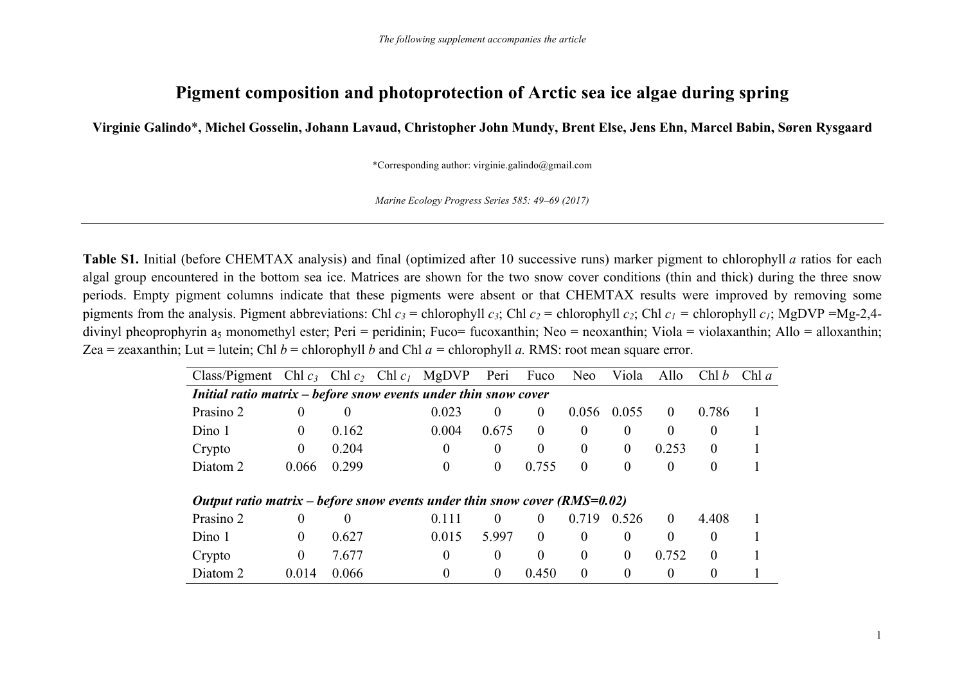## **Pigment composition and photoprotection of Arctic sea ice algae during spring**

**Virginie Galindo**\***, Michel Gosselin, Johann Lavaud, Christopher John Mundy, Brent Else, Jens Ehn, Marcel Babin, Søren Rysgaard**

\*Corresponding author: virginie.galindo@gmail.com

*Marine Ecology Progress Series 585: 49–69 (2017)*

**Table S1.** Initial (before CHEMTAX analysis) and final (optimized after 10 successive runs) marker pigment to chlorophyll *a* ratios for each algal group encountered in the bottom sea ice. Matrices are shown for the two snow cover conditions (thin and thick) during the three snow periods. Empty pigment columns indicate that these pigments were absent or that CHEMTAX results were improved by removing some pigments from the analysis. Pigment abbreviations: Chl  $c_3$  = chlorophyll  $c_3$ ; Chl  $c_2$  = chlorophyll  $c_2$ ; Chl  $c_1$  = chlorophyll  $c_1$ ; MgDVP =Mg-2,4divinyl pheoprophyrin a<sub>5</sub> monomethyl ester; Peri = peridinin; Fuco= fucoxanthin; Neo = neoxanthin; Viola = violaxanthin; Allo = alloxanthin; Zea = zeaxanthin; Lut = lutein; Chl  $b$  = chlorophyll  $b$  and Chl  $a$  = chlorophyll  $a$ . RMS: root mean square error.

| Class/Pigment Chl $c_3$ Chl $c_2$ Chl $c_1$ MgDVP                           |          |          |                | Peri     | Fuco           | <b>Neo</b>     | Viola          | Allo     | Chl b    | Chl $a$ |
|-----------------------------------------------------------------------------|----------|----------|----------------|----------|----------------|----------------|----------------|----------|----------|---------|
| Initial ratio matrix – before snow events under thin snow cover             |          |          |                |          |                |                |                |          |          |         |
| Prasino 2                                                                   | $\theta$ | $\theta$ | 0.023          | $\theta$ | $\Omega$       | 0.056          | 0.055          | $\theta$ | 0.786    |         |
| Dino 1                                                                      | $\theta$ | 0.162    | 0.004          | 0.675    | $\overline{0}$ | $\theta$       | $\theta$       | $\theta$ | $\theta$ |         |
| Crypto                                                                      | $\bf{0}$ | 0.204    | $\Omega$       | $\theta$ | $\overline{0}$ | $\overline{0}$ | $\overline{0}$ | 0.253    | $\theta$ |         |
| Diatom 2                                                                    | 0.066    | 0.299    | $\overline{0}$ | $\theta$ | 0.755          | $\theta$       | $\overline{0}$ | $\theta$ | $\theta$ |         |
| Output ratio matrix – before snow events under thin snow cover $(RMS=0.02)$ |          |          |                |          |                |                |                |          |          |         |
| Prasino 2                                                                   | $\Omega$ | $\theta$ | 0.111          | $\Omega$ | $\theta$       | 0.719          | 0.526          | $\theta$ | 4.408    |         |
| Dino 1                                                                      | $\Omega$ | 0.627    | 0.015          | 5.997    | $\theta$       | $\theta$       | $\theta$       | $\theta$ | $\theta$ |         |
| Crypto                                                                      | $\theta$ | 7.677    | $\theta$       | $\theta$ | $\overline{0}$ | $\theta$       | $\Omega$       | 0.752    | $\Omega$ |         |
| Diatom 2                                                                    | 0.014    | 0.066    | $\theta$       | $\theta$ | 0.450          | 0              | $\Omega$       | $\theta$ | 0        |         |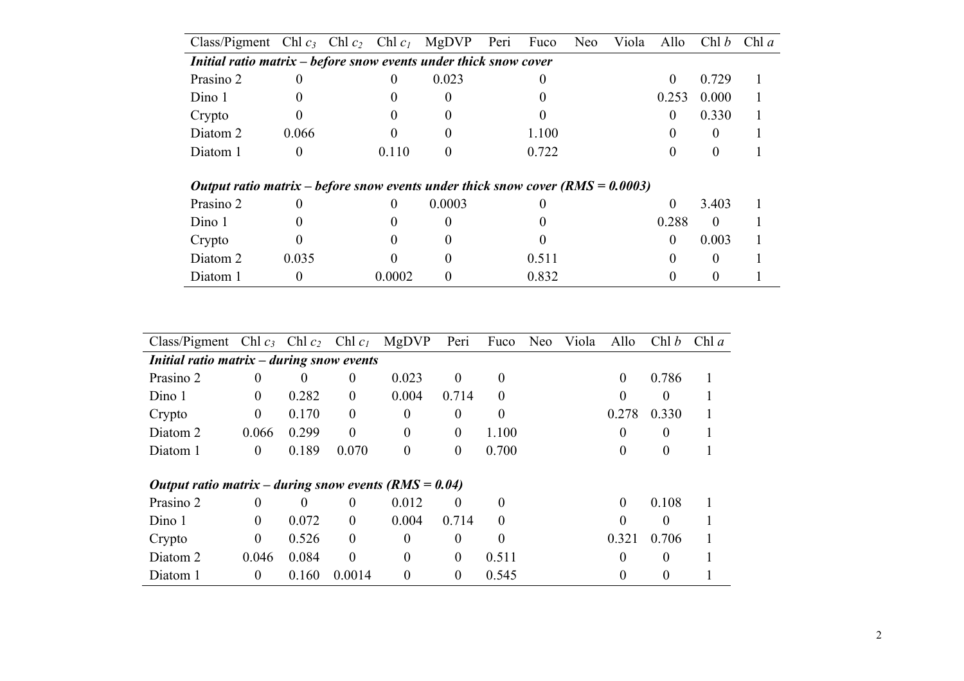| Class/Pigment Chl $c_3$ Chl $c_2$ Chl $c_1$ MgDVP                                    |          |        |                   | Peri | Fuco  | <b>Neo</b> | Viola | Allo         | Chl b    | Chl $a$ |
|--------------------------------------------------------------------------------------|----------|--------|-------------------|------|-------|------------|-------|--------------|----------|---------|
| <i>Initial ratio matrix <math>-</math> before snow events under thick snow cover</i> |          |        |                   |      |       |            |       |              |          |         |
| Prasino 2                                                                            |          | 0      | 0.023             |      |       |            |       | $\Omega$     | 0.729    |         |
| Dino 1                                                                               |          |        |                   |      |       |            |       | 0.253        | 0.000    |         |
| Crypto                                                                               |          |        |                   |      |       |            |       | $\theta$     | 0.330    |         |
| Diatom 2                                                                             | 0.066    |        |                   |      | 1.100 |            |       |              |          |         |
| Diatom 1                                                                             | $\theta$ | 0.110  | $\mathbf{\Omega}$ |      | 0.722 |            |       |              |          |         |
|                                                                                      |          |        |                   |      |       |            |       |              |          |         |
| Output ratio matrix – before snow events under thick snow cover (RMS = $0.0003$ )    |          |        |                   |      |       |            |       |              |          |         |
| Prasino 2                                                                            | 0        | 0      | 0.0003            |      |       |            |       | $\Omega$     | 3.403    |         |
| Dino 1                                                                               |          |        |                   |      |       |            |       | 0.288        | $\theta$ |         |
| Crypto                                                                               |          |        |                   |      |       |            |       | $\mathbf{0}$ | 0.003    |         |
| Diatom 2                                                                             | 0.035    |        |                   |      | 0.511 |            |       |              |          |         |
| Diatom 1                                                                             | 0        | 0.0002 |                   |      | 0.832 |            |       |              |          |         |

| Class/Pigment Chl $c_3$ Chl $c_2$ Chl $c_1$                   |                  |          |              | MgDVP    | Peri           | Fuco     | <b>Neo</b> | Viola | Allo             | Chl b    | Chl $a$ |
|---------------------------------------------------------------|------------------|----------|--------------|----------|----------------|----------|------------|-------|------------------|----------|---------|
| <i>Initial ratio matrix <math>-</math> during snow events</i> |                  |          |              |          |                |          |            |       |                  |          |         |
| Prasino 2                                                     | $\theta$         | $\theta$ | $\theta$     | 0.023    | $\mathbf{0}$   | $\theta$ |            |       | $\boldsymbol{0}$ | 0.786    |         |
| Dino 1                                                        | $\overline{0}$   | 0.282    | $\mathbf{0}$ | 0.004    | 0.714          | $\theta$ |            |       | $\Omega$         | $\theta$ |         |
| Crypto                                                        | $\boldsymbol{0}$ | 0.170    | $\mathbf{0}$ | $\theta$ | $\theta$       | $\theta$ |            |       | 0.278            | 0.330    |         |
| Diatom 2                                                      | 0.066            | 0.299    | $\theta$     | $\theta$ | $\mathbf{0}$   | 1.100    |            |       | 0                | $\theta$ |         |
| Diatom 1                                                      | $\theta$         | 0.189    | 0.070        | $\theta$ | $\theta$       | 0.700    |            |       | $\Omega$         | $\theta$ |         |
| Output ratio matrix – during snow events $(RMS = 0.04)$       |                  |          |              |          |                |          |            |       |                  |          |         |
| Prasino 2                                                     | $\overline{0}$   | $\theta$ | $\theta$     | 0.012    | $\theta$       | $\Omega$ |            |       | $\theta$         | 0.108    |         |
| Dino 1                                                        | $\theta$         | 0.072    | $\theta$     | 0.004    | 0.714          | $\theta$ |            |       | $\Omega$         | $\theta$ |         |
| Crypto                                                        | $\overline{0}$   | 0.526    | $\theta$     | $\theta$ | $\theta$       | $\Omega$ |            |       | 0.321            | 0.706    |         |
| Diatom 2                                                      | 0.046            | 0.084    | $\theta$     | $\theta$ | $\overline{0}$ | 0.511    |            |       | $\Omega$         | $\theta$ |         |
|                                                               |                  | 0.160    | 0.0014       | $\theta$ |                | 0.545    |            |       | 0                | $\theta$ |         |